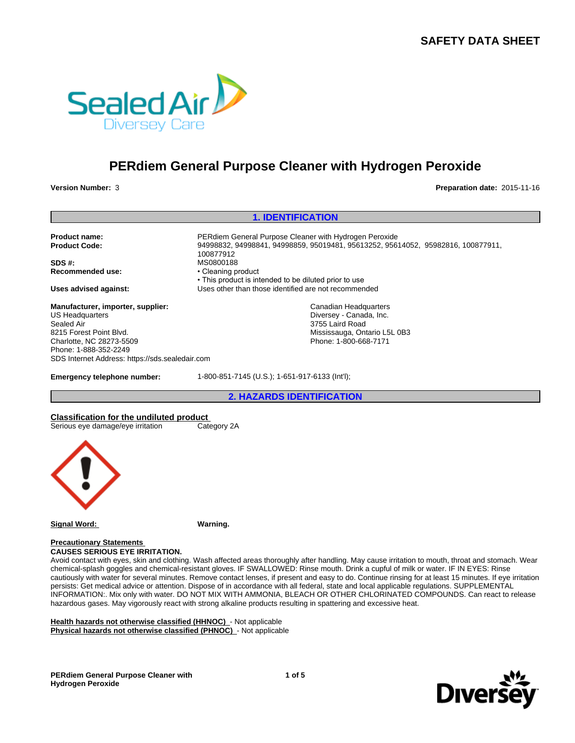

# **PERdiem General Purpose Cleaner with Hydrogen Peroxide**

**Version Number:** 3 **Preparation date:** 2015-11-16

#### **1. IDENTIFICATION**

**Product name:** PERdiem General Purpose Cleaner with Hydrogen Peroxide **Product Code:** 94998832, 94998841, 94998859, 95019481, 95613252, 95614052, 95982816, 100877911,

**SDS #:**<br> **Recommended use:**<br> **Recommended use:**<br> **Cleaning product Recommended use:** 

**Manufacturer, importer, supplier:** US Headquarters Sealed Air 8215 Forest Point Blvd. Charlotte, NC 28273-5509 Phone: 1-888-352-2249 SDS Internet Address: https://sds.sealedair.com

**Emergency telephone number:** 1-800-851-7145 (U.S.); 1-651-917-6133 (Int'l);

• This product is intended to be diluted prior to use **Uses advised against:** Uses other than those identified are not recommended

> Canadian Headquarters Diversey - Canada, Inc. 3755 Laird Road Mississauga, Ontario L5L 0B3 Phone: 1-800-668-7171

**2. HAZARDS IDENTIFICATION**

**Classification for the undiluted product** Serious eye damage/eye irritation



**Signal Word: Warning.**

100877912

**Precautionary Statements CAUSES SERIOUS EYE IRRITATION.**

Avoid contact with eyes, skin and clothing. Wash affected areas thoroughly after handling. May cause irritation to mouth, throat and stomach. Wear chemical-splash goggles and chemical-resistant gloves. IF SWALLOWED: Rinse mouth. Drink a cupful of milk or water. IF IN EYES: Rinse cautiously with water for several minutes. Remove contact lenses, if present and easy to do. Continue rinsing for at least 15 minutes. If eye irritation persists: Get medical advice or attention. Dispose of in accordance with all federal, state and local applicable regulations. SUPPLEMENTAL INFORMATION:. Mix only with water. DO NOT MIX WITH AMMONIA, BLEACH OR OTHER CHLORINATED COMPOUNDS. Can react to release hazardous gases. May vigorously react with strong alkaline products resulting in spattering and excessive heat.

**Health hazards not otherwise classified (HHNOC)** - Not applicable **Physical hazards not otherwise classified (PHNOC)** - Not applicable

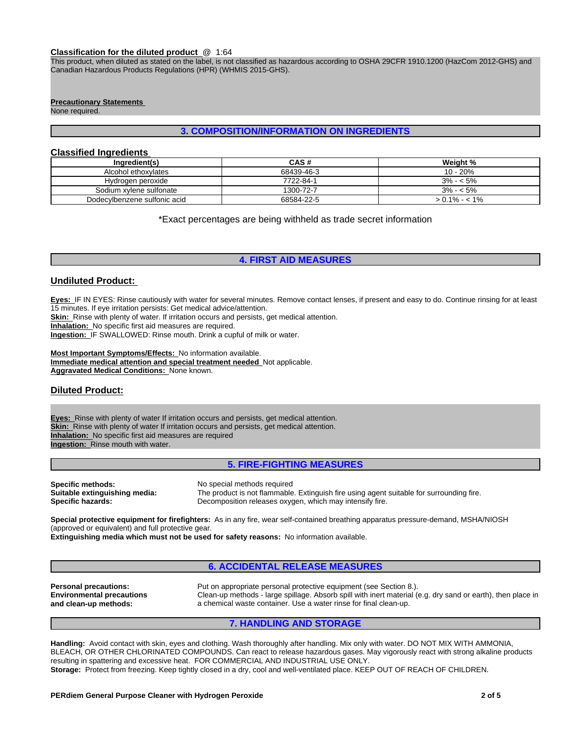#### **Classification for the diluted product** @ 1:64

This product, when diluted as stated on the label, is not classified as hazardous according to OSHA 29CFR 1910.1200 (HazCom 2012-GHS) and Canadian Hazardous Products Regulations (HPR) (WHMIS 2015-GHS).

# **Precautionary Statements**

None required.

# **3. COMPOSITION/INFORMATION ON INGREDIENTS**

### **Classified Ingredients**

| Ingredient(s)                | CAS#       | Weight %        |
|------------------------------|------------|-----------------|
| Alcohol ethoxylates          | 68439-46-3 | 10 - 20%        |
| Hydrogen peroxide            | 7722-84-1  | $3\% - 5\%$     |
| Sodium xvlene sulfonate      | 1300-72-7  | $3\% - 5\%$     |
| Dodecylbenzene sulfonic acid | 68584-22-5 | $> 0.1\% - 1\%$ |

\*Exact percentages are being withheld as trade secret information

### **4. FIRST AID MEASURES**

#### **Undiluted Product:**

**Eyes:** IF IN EYES: Rinse cautiously with water for several minutes. Remove contact lenses, if present and easy to do. Continue rinsing for at least 15 minutes. If eye irritation persists: Get medical advice/attention.

**Skin:** Rinse with plenty of water. If irritation occurs and persists, get medical attention.

**Inhalation:** No specific first aid measures are required.

**Ingestion:** IF SWALLOWED: Rinse mouth. Drink a cupful of milk or water.

**Most Important Symptoms/Effects:** No information available. **Immediate medical attention and special treatment needed** Not applicable. **Aggravated Medical Conditions:** None known.

# **Diluted Product:**

**Eyes:** Rinse with plenty of water If irritation occurs and persists, get medical attention. **Skin:** Rinse with plenty of water If irritation occurs and persists, get medical attention. **Inhalation:** No specific first aid measures are required **Ingestion:** Rinse mouth with water.

**5. FIRE-FIGHTING MEASURES**

**Specific methods:** No special methods required<br> **Suitable extinguishing media:** The product is not flammable

The product is not flammable. Extinguish fire using agent suitable for surrounding fire. **Specific hazards:** Decomposition releases oxygen, which may intensify fire.

**Special protective equipment for firefighters:** As in any fire, wear self-contained breathing apparatus pressure-demand, MSHA/NIOSH (approved or equivalent) and full protective gear.

**Extinguishing media which must not be used for safety reasons:** No information available.

# **6. ACCIDENTAL RELEASE MEASURES**

**Environmental precautions and clean-up methods:**

**Personal precautions:** Put on appropriate personal protective equipment (see Section 8.). Clean-up methods - large spillage. Absorb spill with inert material (e.g. dry sand or earth), then place in a chemical waste container. Use a water rinse for final clean-up.

#### **7. HANDLING AND STORAGE**

**Handling:** Avoid contact with skin, eyes and clothing. Wash thoroughly after handling. Mix only with water. DO NOT MIX WITH AMMONIA, BLEACH, OR OTHER CHLORINATED COMPOUNDS. Can react to release hazardous gases. May vigorously react with strong alkaline products resulting in spattering and excessive heat. FOR COMMERCIAL AND INDUSTRIAL USE ONLY. **Storage:** Protect from freezing. Keep tightly closed in a dry, cool and well-ventilated place. KEEP OUT OF REACH OF CHILDREN.

#### **PERdiem General Purpose Cleaner with Hydrogen Peroxide 2 of 5**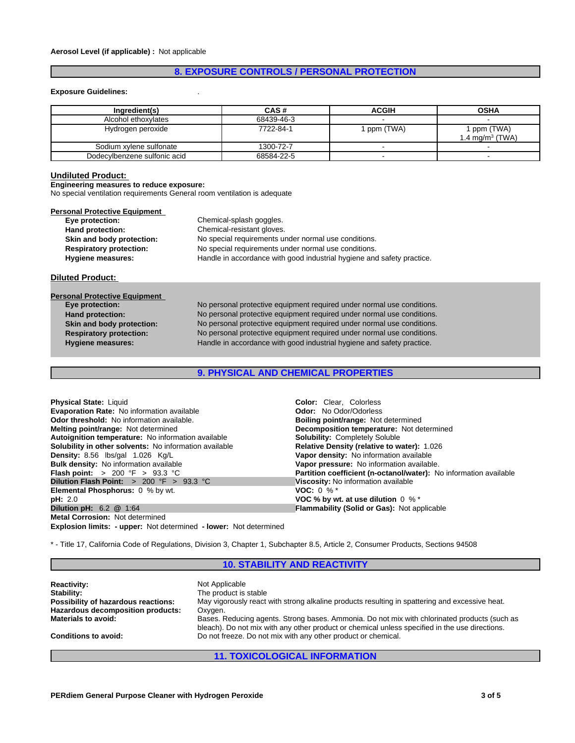# **8. EXPOSURE CONTROLS / PERSONAL PROTECTION**

#### **Exposure Guidelines:** .

| Ingredient(s)                | CAS #      | <b>ACGIH</b> | <b>OSHA</b>                              |
|------------------------------|------------|--------------|------------------------------------------|
| Alcohol ethoxylates          | 68439-46-3 |              |                                          |
| Hydrogen peroxide            | 7722-84-1  | ppm (TWA)    | ppm (TWA)<br>1.4 mg/m <sup>3</sup> (TWA) |
| Sodium xvlene sulfonate      | 1300-72-7  |              |                                          |
| Dodecylbenzene sulfonic acid | 68584-22-5 |              |                                          |

#### **Undiluted Product:**

**Engineering measures to reduce exposure:**

No special ventilation requirements General room ventilation is adequate

| Eye protection:                | Chemical-splash goggles.                                               |
|--------------------------------|------------------------------------------------------------------------|
| Hand protection:               | Chemical-resistant gloves.                                             |
| Skin and body protection:      | No special requirements under normal use conditions.                   |
| <b>Respiratory protection:</b> | No special requirements under normal use conditions.                   |
| <b>Hygiene measures:</b>       | Handle in accordance with good industrial hygiene and safety practice. |

| <b>Personal Protective Equipment</b> |                                                                        |
|--------------------------------------|------------------------------------------------------------------------|
| Eye protection:                      | No personal protective equipment required under normal use conditions. |
| Hand protection:                     | No personal protective equipment required under normal use conditions. |
| Skin and body protection:            | No personal protective equipment required under normal use conditions. |
| <b>Respiratory protection:</b>       | No personal protective equipment required under normal use conditions. |
| <b>Hygiene measures:</b>             | Handle in accordance with good industrial hygiene and safety practice. |
|                                      |                                                                        |

**9. PHYSICAL AND CHEMICAL PROPERTIES**

| Physical State: Liquid                                        | <b>Color:</b> Clear. Colorless                                           |
|---------------------------------------------------------------|--------------------------------------------------------------------------|
|                                                               |                                                                          |
| Evaporation Rate: No information available                    | <b>Odor:</b> No Odor/Odorless                                            |
| <b>Odor threshold:</b> No information available.              | <b>Boiling point/range: Not determined</b>                               |
| <b>Melting point/range: Not determined</b>                    | Decomposition temperature: Not determined                                |
| Autoignition temperature: No information available            | <b>Solubility: Completely Soluble</b>                                    |
| <b>Solubility in other solvents:</b> No information available | <b>Relative Density (relative to water): 1.026</b>                       |
| Density: 8.56 lbs/gal 1.026 Kg/L                              | Vapor density: No information available                                  |
| <b>Bulk density:</b> No information available                 | Vapor pressure: No information available.                                |
| <b>Flash point:</b> > 200 °F > 93.3 °C                        | <b>Partition coefficient (n-octanol/water):</b> No information available |
| Dilution Flash Point: $> 200$ °F $> 93.3$ °C                  | Viscosity: No information available                                      |
| <b>Elemental Phosphorus:</b> 0 % by wt.                       | <b>VOC:</b> 0 % $*$                                                      |
| pH: 2.0                                                       | VOC % by wt. at use dilution $0 \%$ *                                    |
| Dilution pH: $6.2 \quad \textcircled{a}$ 1:64                 | <b>Flammability (Solid or Gas): Not applicable</b>                       |
| <b>Metal Corrosion: Not determined</b>                        |                                                                          |

**Explosion limits: - upper:** Not determined **- lower:** Not determined

\* - Title 17, California Code of Regulations, Division 3, Chapter 1, Subchapter 8.5, Article 2, Consumer Products, Sections 94508

### **10. STABILITY AND REACTIVITY**

**Reactivity:** Not Applicable Stability: Not Applicable Stability: **Stability:** The product is stable **Possibility of hazardous reactions:** May vigorously react with strong alkaline products resulting in spattering and excessive heat. **Hazardous decomposition products:** Oxygen. Bases. Reducing agents. Strong bases. Ammonia. Do not mix with chlorinated products (such as bleach). Do not mix with any other product or chemical unless specified in the use directions. **Conditions to avoid:** Do not freeze. Do not mix with any other product or chemical.

# **11. TOXICOLOGICAL INFORMATION**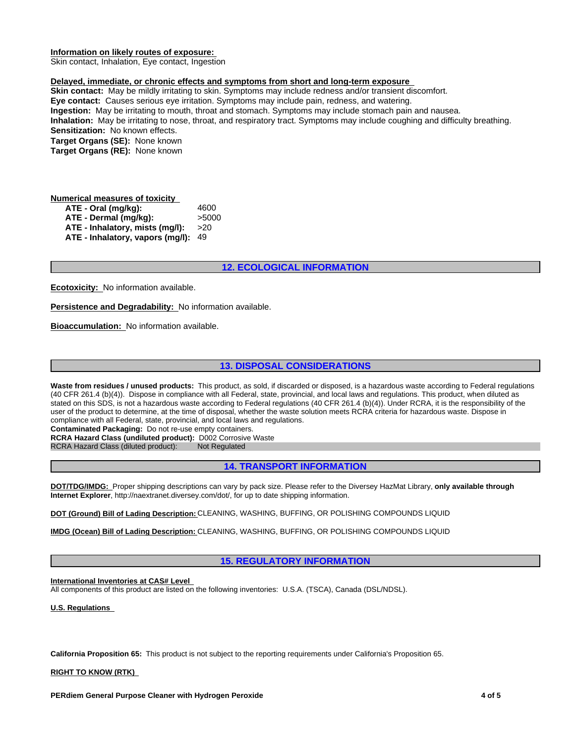#### **Information on likely routes of exposure:**

Skin contact, Inhalation, Eye contact, Ingestion

#### **Delayed, immediate, or chronic effects and symptoms from short and long-term exposure**

**Skin contact:** May be mildly irritating to skin. Symptoms may include redness and/or transient discomfort. **Eye contact:** Causes serious eye irritation. Symptoms may include pain, redness, and watering. **Ingestion:** May be irritating to mouth, throat and stomach. Symptoms may include stomach pain and nausea. **Inhalation:** May be irritating to nose, throat, and respiratory tract. Symptoms may include coughing and difficulty breathing. **Sensitization:** No known effects. **Target Organs (SE):** None known **Target Organs (RE):** None known

#### **Numerical measures of toxicity ATE - Oral (mg/kg):** 4600 **ATE - Dermal (mg/kg):** >5000 **ATE - Inhalatory, mists (mg/l):** >20 **ATE - Inhalatory, vapors (mg/l):** 49

# **12. ECOLOGICAL INFORMATION**

**Ecotoxicity:** No information available.

**Persistence and Degradability:** No information available.

**Bioaccumulation:** No information available.

# **13. DISPOSAL CONSIDERATIONS**

Waste from residues / unused products: This product, as sold, if discarded or disposed, is a hazardous waste according to Federal regulations (40 CFR 261.4 (b)(4)). Dispose in compliance with all Federal, state, provincial, and local laws and regulations. This product, when diluted as stated on this SDS, is not a hazardous waste according to Federal regulations (40 CFR 261.4 (b)(4)). Under RCRA, it is the responsibility of the user of the product to determine, at the time of disposal, whether the waste solution meets RCRA criteria for hazardous waste. Dispose in compliance with all Federal, state, provincial, and local laws and regulations.

**Contaminated Packaging:** Do not re-use empty containers.

**RCRA Hazard Class (undiluted product):** D002 Corrosive Waste RCRA Hazard Class (diluted product): Not Regulated

RCRA Hazard Class (diluted product):

## **14. TRANSPORT INFORMATION**

**DOT/TDG/IMDG:** Proper shipping descriptions can vary by pack size. Please refer to the Diversey HazMat Library, **only available through Internet Explorer**, http://naextranet.diversey.com/dot/, for up to date shipping information.

**DOT (Ground) Bill of Lading Description:** CLEANING, WASHING, BUFFING, OR POLISHING COMPOUNDS LIQUID

**IMDG (Ocean) Bill of Lading Description:** CLEANING, WASHING, BUFFING, OR POLISHING COMPOUNDS LIQUID

#### **15. REGULATORY INFORMATION**

**International Inventories at CAS# Level**  All components of this product are listed on the following inventories: U.S.A. (TSCA), Canada (DSL/NDSL).

**U.S. Regulations** 

**California Proposition 65:** This product is not subject to the reporting requirements under California's Proposition 65.

**RIGHT TO KNOW (RTK)**